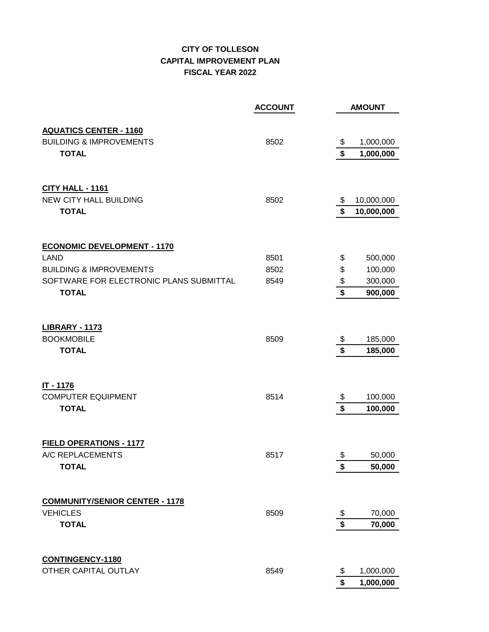## **CITY OF TOLLESON CAPITAL IMPROVEMENT PLAN FISCAL YEAR 2022**

|                                                                     | <b>ACCOUNT</b> | <b>AMOUNT</b>                                       |
|---------------------------------------------------------------------|----------------|-----------------------------------------------------|
|                                                                     |                |                                                     |
| <b>AQUATICS CENTER - 1160</b><br><b>BUILDING &amp; IMPROVEMENTS</b> | 8502           | 1,000,000<br>\$                                     |
| <b>TOTAL</b>                                                        |                | \$<br>1,000,000                                     |
|                                                                     |                |                                                     |
| <b>CITY HALL - 1161</b>                                             |                |                                                     |
| <b>NEW CITY HALL BUILDING</b>                                       | 8502           | 10,000,000<br>\$                                    |
| <b>TOTAL</b>                                                        |                | $\overline{\mathbf{s}}$<br>10,000,000               |
| <b>ECONOMIC DEVELOPMENT - 1170</b>                                  |                |                                                     |
| <b>LAND</b>                                                         | 8501           | \$<br>500,000                                       |
| <b>BUILDING &amp; IMPROVEMENTS</b>                                  | 8502           | \$<br>100,000                                       |
| SOFTWARE FOR ELECTRONIC PLANS SUBMITTAL<br><b>TOTAL</b>             | 8549           | $\frac{1}{2}$<br>300,000<br>$\overline{\mathbf{S}}$ |
|                                                                     |                | 900,000                                             |
| <b>LIBRARY - 1173</b><br><b>BOOKMOBILE</b>                          | 8509           | \$<br>185,000                                       |
| <b>TOTAL</b>                                                        |                | $\overline{\mathbf{S}}$<br>185,000                  |
|                                                                     |                |                                                     |
| IT - 1176                                                           |                |                                                     |
| <b>COMPUTER EQUIPMENT</b>                                           | 8514           | \$<br>100,000<br>\$                                 |
| <b>TOTAL</b>                                                        |                | 100,000                                             |
| <b>FIELD OPERATIONS - 1177</b><br>A/C REPLACEMENTS                  | 8517           | \$<br>50,000                                        |
| <b>TOTAL</b>                                                        |                | \$<br>50,000                                        |
|                                                                     |                |                                                     |
| <b>COMMUNITY/SENIOR CENTER - 1178</b>                               |                |                                                     |
| <b>VEHICLES</b>                                                     | 8509           | \$<br>70,000                                        |
| <b>TOTAL</b>                                                        |                | \$<br>70,000                                        |
| <b>CONTINGENCY-1180</b>                                             |                |                                                     |
| OTHER CAPITAL OUTLAY                                                | 8549           | 1,000,000<br>\$                                     |
|                                                                     |                | \$<br>1,000,000                                     |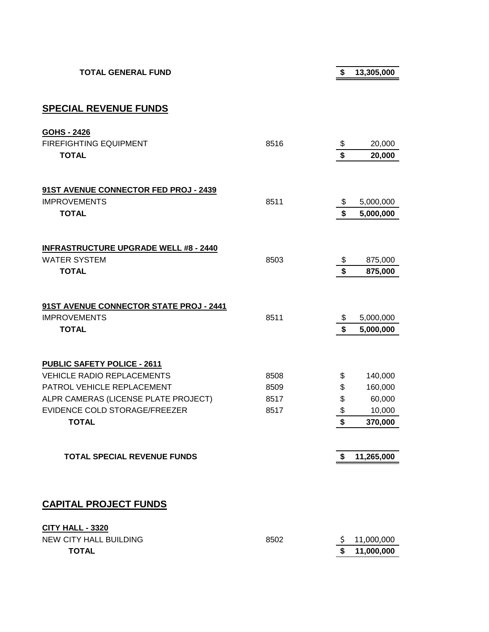**TOTAL GENERAL FUND \$ 13,305,000**

**SPECIAL REVENUE FUNDS**

**CITY HALL - 3320**

| <b>GOHS - 2426</b>                           |      |                         |            |
|----------------------------------------------|------|-------------------------|------------|
| FIREFIGHTING EQUIPMENT                       | 8516 | \$<br>\$                | 20,000     |
| <b>TOTAL</b>                                 |      |                         | 20,000     |
| 91ST AVENUE CONNECTOR FED PROJ - 2439        |      |                         |            |
| <b>IMPROVEMENTS</b>                          | 8511 | \$                      | 5,000,000  |
| <b>TOTAL</b>                                 |      | \$                      | 5,000,000  |
| <b>INFRASTRUCTURE UPGRADE WELL #8 - 2440</b> |      |                         |            |
| <b>WATER SYSTEM</b>                          | 8503 | \$                      | 875,000    |
| <b>TOTAL</b>                                 |      | \$                      | 875,000    |
| 91ST AVENUE CONNECTOR STATE PROJ - 2441      |      |                         |            |
| <b>IMPROVEMENTS</b>                          | 8511 | \$                      | 5,000,000  |
| <b>TOTAL</b>                                 |      | $\mathbf{\hat{s}}$      | 5,000,000  |
| PUBLIC SAFETY POLICE - 2611                  |      |                         |            |
| <b>VEHICLE RADIO REPLACEMENTS</b>            | 8508 | \$                      | 140,000    |
| PATROL VEHICLE REPLACEMENT                   | 8509 | \$                      | 160,000    |
| ALPR CAMERAS (LICENSE PLATE PROJECT)         | 8517 | \$                      | 60,000     |
| EVIDENCE COLD STORAGE/FREEZER                | 8517 | $\frac{1}{2}$           | 10,000     |
| <b>TOTAL</b>                                 |      | $\overline{\mathbf{s}}$ | 370,000    |
| <b>TOTAL SPECIAL REVENUE FUNDS</b>           |      | \$                      |            |
|                                              |      |                         | 11,265,000 |
|                                              |      |                         |            |
| <b>CAPITAL PROJECT FUNDS</b>                 |      |                         |            |

| NEW CITY HALL BUILDING | 8502 | \$11,000,000  |
|------------------------|------|---------------|
| <b>TOTAL</b>           |      | \$ 11,000,000 |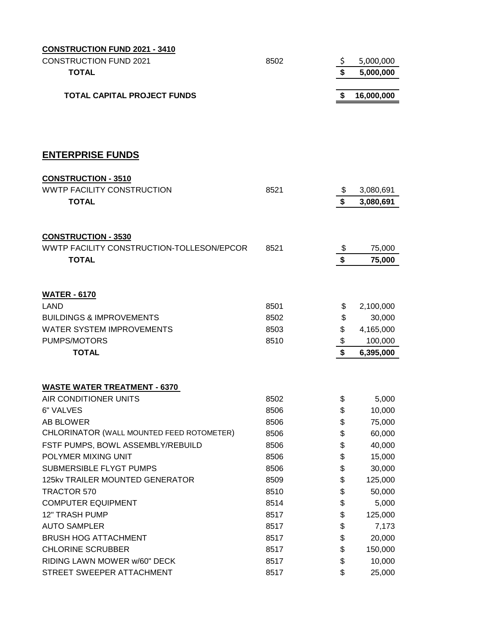| <b>CONSTRUCTION FUND 2021 - 3410</b>             |      |                             |            |
|--------------------------------------------------|------|-----------------------------|------------|
| <b>CONSTRUCTION FUND 2021</b>                    | 8502 | \$                          | 5,000,000  |
| <b>TOTAL</b>                                     |      |                             | 5,000,000  |
|                                                  |      |                             |            |
| <b>TOTAL CAPITAL PROJECT FUNDS</b>               |      | \$                          | 16,000,000 |
|                                                  |      |                             |            |
|                                                  |      |                             |            |
| <b>ENTERPRISE FUNDS</b>                          |      |                             |            |
| <b>CONSTRUCTION - 3510</b>                       |      |                             |            |
| <b>WWTP FACILITY CONSTRUCTION</b>                | 8521 | \$                          | 3,080,691  |
| <b>TOTAL</b>                                     |      | \$                          | 3,080,691  |
|                                                  |      |                             |            |
| <b>CONSTRUCTION - 3530</b>                       |      |                             |            |
| WWTP FACILITY CONSTRUCTION-TOLLESON/EPCOR        | 8521 | \$                          | 75,000     |
| <b>TOTAL</b>                                     |      | $\overline{\boldsymbol{s}}$ | 75,000     |
|                                                  |      |                             |            |
|                                                  |      |                             |            |
| <b>WATER - 6170</b>                              |      |                             |            |
| <b>LAND</b>                                      | 8501 | \$                          | 2,100,000  |
| <b>BUILDINGS &amp; IMPROVEMENTS</b>              | 8502 | \$                          | 30,000     |
| <b>WATER SYSTEM IMPROVEMENTS</b><br>PUMPS/MOTORS | 8503 | \$                          | 4,165,000  |
| <b>TOTAL</b>                                     | 8510 | \$<br>\$                    | 100,000    |
|                                                  |      |                             | 6,395,000  |
|                                                  |      |                             |            |
| <b>WASTE WATER TREATMENT - 6370</b>              |      |                             |            |
| AIR CONDITIONER UNITS                            | 8502 | \$                          | 5,000      |
| 6" VALVES                                        | 8506 | \$                          | 10,000     |
| <b>AB BLOWER</b>                                 | 8506 | \$                          | 75,000     |
| CHLORINATOR (WALL MOUNTED FEED ROTOMETER)        | 8506 | \$                          | 60,000     |
| FSTF PUMPS, BOWL ASSEMBLY/REBUILD                | 8506 | \$                          | 40,000     |
| POLYMER MIXING UNIT                              | 8506 | \$                          | 15,000     |
| SUBMERSIBLE FLYGT PUMPS                          | 8506 | \$                          | 30,000     |
| 125kv TRAILER MOUNTED GENERATOR                  | 8509 | \$                          | 125,000    |
| TRACTOR 570                                      | 8510 | \$                          | 50,000     |
| <b>COMPUTER EQUIPMENT</b>                        | 8514 | \$                          | 5,000      |
| <b>12" TRASH PUMP</b>                            | 8517 | \$                          | 125,000    |
| <b>AUTO SAMPLER</b>                              | 8517 | \$                          | 7,173      |
| <b>BRUSH HOG ATTACHMENT</b>                      | 8517 | \$                          | 20,000     |
| <b>CHLORINE SCRUBBER</b>                         | 8517 | \$                          | 150,000    |
| RIDING LAWN MOWER w/60" DECK                     | 8517 | \$                          | 10,000     |
| STREET SWEEPER ATTACHMENT                        | 8517 | \$                          | 25,000     |